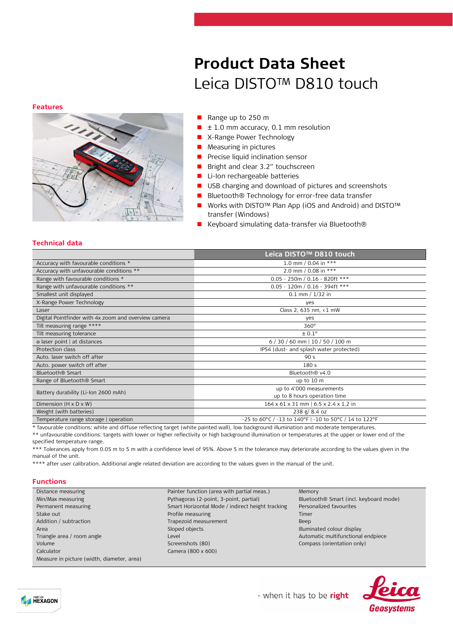### **Features**



# **Product Data Sheet** Leica DISTO™ D810 touch

- Range up to 250 m
- ± 1.0 mm accuracy, 0.1 mm resolution
- X-Range Power Technology
- Measuring in pictures
- **P** Precise liquid inclination sensor
- Bright and clear 3.2" touchscreen
- Li-Ion rechargeable batteries
- USB charging and download of pictures and screenshots
- Bluetooth® Technology for error-free data transfer
- Works with DISTO<sup>™</sup> Plan App (iOS and Android) and DISTO<sup>™</sup> transfer (Windows)
- Keyboard simulating data-transfer via Bluetooth®

### **Technical data**

|                                                                                                                                                                                                                                                                                                                                                                                                                                        | Leica DISTO™ D810 touch                                                                                         |  |
|----------------------------------------------------------------------------------------------------------------------------------------------------------------------------------------------------------------------------------------------------------------------------------------------------------------------------------------------------------------------------------------------------------------------------------------|-----------------------------------------------------------------------------------------------------------------|--|
| Accuracy with favourable conditions *                                                                                                                                                                                                                                                                                                                                                                                                  | 1.0 mm / 0.04 in ***                                                                                            |  |
| Accuracy with unfavourable conditions **                                                                                                                                                                                                                                                                                                                                                                                               | 2.0 mm / 0.08 in ***                                                                                            |  |
| Range with favourable conditions *                                                                                                                                                                                                                                                                                                                                                                                                     | $0.05 - 250m / 0.16 - 820ft$ ***                                                                                |  |
| Range with unfavourable conditions **                                                                                                                                                                                                                                                                                                                                                                                                  | $0.05 - 120m / 0.16 - 394ft$ ***                                                                                |  |
| Smallest unit displayed                                                                                                                                                                                                                                                                                                                                                                                                                | $0.1$ mm $/ 1/32$ in                                                                                            |  |
| X-Range Power Technology                                                                                                                                                                                                                                                                                                                                                                                                               | yes                                                                                                             |  |
| Laser                                                                                                                                                                                                                                                                                                                                                                                                                                  | Class 2, 635 nm, <1 mW                                                                                          |  |
| Digital Pointfinder with 4x zoom and overview camera                                                                                                                                                                                                                                                                                                                                                                                   | ves                                                                                                             |  |
| Tilt measuring range ****                                                                                                                                                                                                                                                                                                                                                                                                              | $360^\circ$                                                                                                     |  |
| Tilt measuring tolerance                                                                                                                                                                                                                                                                                                                                                                                                               | $\pm 0.1^\circ$                                                                                                 |  |
| ø laser point   at distances                                                                                                                                                                                                                                                                                                                                                                                                           | $6/30/60$ mm   10 / 50 / 100 m                                                                                  |  |
| Protection class                                                                                                                                                                                                                                                                                                                                                                                                                       | IP54 (dust- and splash water protected)                                                                         |  |
| Auto. laser switch off after                                                                                                                                                                                                                                                                                                                                                                                                           | 90 <sub>5</sub>                                                                                                 |  |
| Auto. power switch off after                                                                                                                                                                                                                                                                                                                                                                                                           | 180 <sub>5</sub>                                                                                                |  |
| Bluetooth <sup>®</sup> Smart                                                                                                                                                                                                                                                                                                                                                                                                           | Bluetooth <sup>®</sup> v4.0                                                                                     |  |
| Range of Bluetooth <sup>®</sup> Smart                                                                                                                                                                                                                                                                                                                                                                                                  | up to 10 m                                                                                                      |  |
|                                                                                                                                                                                                                                                                                                                                                                                                                                        | up to 4'000 measurements                                                                                        |  |
| Battery durability (Li-Ion 2600 mAh)                                                                                                                                                                                                                                                                                                                                                                                                   | up to 8 hours operation time                                                                                    |  |
| Dimension $(H \times D \times W)$                                                                                                                                                                                                                                                                                                                                                                                                      | 164 x 61 x 31 mm   6.5 x 2.4 x 1.2 in                                                                           |  |
| Weight (with batteries)                                                                                                                                                                                                                                                                                                                                                                                                                | 238 g/ 8.4 oz                                                                                                   |  |
| Temperature range storage   operation                                                                                                                                                                                                                                                                                                                                                                                                  | -25 to 60°C / -13 to 140°F   -10 to 50°C / 14 to 122°F                                                          |  |
| the contract of the contract of the contract of the contract of the contract of<br>$\mathbf{r}$ , and the set of the set of the set of the set of the set of the set of the set of the set of the set of the set of the set of the set of the set of the set of the set of the set of the set of the set of the set<br>the contract of the contract of the contract of the contract of the contract of the contract of the contract of | the contract of the contract of the contract of the contract of the contract of the contract of the contract of |  |

\* favourable conditions: white and diffuse reflecting target (white painted wall), low background illumination and moderate temperatures. \*\* unfavourable conditions: targets with lower or higher reflectivity or high background illumination or temperatures at the upper or lower end of the

specified temperature range.

\*\*\* Tolerances apply from 0.05 m to 5 m with a confidence level of 95%. Above 5 m the tolerance may deteriorate according to the values given in the manual of the unit.

\*\*\*\* after user calibration. Additional angle related deviation are according to the values given in the manual of the unit.

## **Functions**

| Distance measuring                         | Painter function (area with partial meas.)       | Memory                                             |
|--------------------------------------------|--------------------------------------------------|----------------------------------------------------|
| Min/Max measuring                          | Pythagoras (2-point, 3-point, partial)           | Bluetooth <sup>®</sup> Smart (incl. keyboard mode) |
| Permanent measuring                        | Smart Horizontal Mode / indirect height tracking | Personalized favourites                            |
| Stake out                                  | Profile measuring                                | Timer                                              |
| Addition / subtraction                     | Trapezoid measurement                            | Beep                                               |
| Area                                       | Sloped objects                                   | Illuminated colour display                         |
| Triangle area / room angle                 | Level                                            | Automatic multifunctional endpiece                 |
| Volume                                     | Screenshots (80)                                 | Compass (orientation only)                         |
| Calculator                                 | Camera (800 x 600)                               |                                                    |
| Measure in picture (width, diameter, area) |                                                  |                                                    |





- when it has to be right